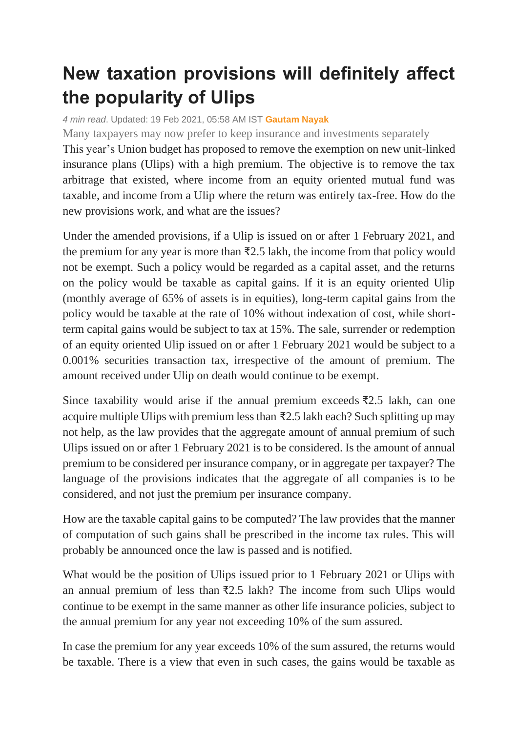## **New taxation provisions will definitely affect the popularity of Ulips**

*4 min read*. Updated: 19 Feb 2021, 05:58 AM IST **[Gautam Nayak](https://www.livemint.com/Search/Link/Author/Gautam-Nayak)**

Many taxpayers may now prefer to keep insurance and investments separately

This year's Union budget has proposed to remove the exemption on new unit-linked insurance plans (Ulips) with a high premium. The objective is to remove the tax arbitrage that existed, where income from an equity oriented mutual fund was taxable, and income from a Ulip where the return was entirely tax-free. How do the new provisions work, and what are the issues?

Under the amended provisions, if a Ulip is issued on or after 1 February 2021, and the premium for any year is more than  $\bar{\mathcal{F}}2.5$  lakh, the income from that policy would not be exempt. Such a policy would be regarded as a capital asset, and the returns on the policy would be taxable as capital gains. If it is an equity oriented Ulip (monthly average of 65% of assets is in equities), long-term capital gains from the policy would be taxable at the rate of 10% without indexation of cost, while shortterm capital gains would be subject to tax at 15%. The sale, surrender or redemption of an equity oriented Ulip issued on or after 1 February 2021 would be subject to a 0.001% securities transaction tax, irrespective of the amount of premium. The amount received under Ulip on death would continue to be exempt.

Since taxability would arise if the annual premium exceeds ₹2.5 lakh, can one acquire multiple Ulips with premium less than  $\overline{22.5}$  lakh each? Such splitting up may not help, as the law provides that the aggregate amount of annual premium of such Ulips issued on or after 1 February 2021 is to be considered. Is the amount of annual premium to be considered per insurance company, or in aggregate per taxpayer? The language of the provisions indicates that the aggregate of all companies is to be considered, and not just the premium per insurance company.

How are the taxable capital gains to be computed? The law provides that the manner of computation of such gains shall be prescribed in the income tax rules. This will probably be announced once the law is passed and is notified.

What would be the position of Ulips issued prior to 1 February 2021 or Ulips with an annual premium of less than ₹2.5 lakh? The income from such Ulips would continue to be exempt in the same manner as other life insurance policies, subject to the annual premium for any year not exceeding 10% of the sum assured.

In case the premium for any year exceeds 10% of the sum assured, the returns would be taxable. There is a view that even in such cases, the gains would be taxable as